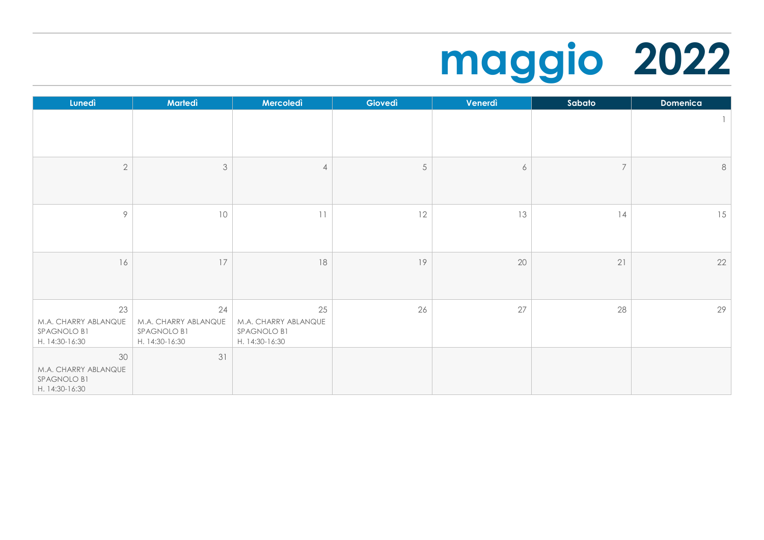## **maggio 2022**

| Lunedì                                                      | Martedì                                                     | Mercoledì                                                   | Giovedì | Venerdì          | Sabato         | <b>Domenica</b> |
|-------------------------------------------------------------|-------------------------------------------------------------|-------------------------------------------------------------|---------|------------------|----------------|-----------------|
|                                                             |                                                             |                                                             |         |                  |                | 1               |
| $\overline{2}$                                              | $\mathfrak{Z}$                                              | 4                                                           | 5       | $\boldsymbol{6}$ | $\overline{7}$ | $\,8\,$         |
| 9                                                           | 10                                                          | 11                                                          | 12      | 13               | 14             | 15              |
| 16                                                          | 17                                                          | $18\,$                                                      | 19      | 20               | 21             | 22              |
| 23<br>M.A. CHARRY ABLANQUE<br>SPAGNOLO B1<br>H. 14:30-16:30 | 24<br>M.A. CHARRY ABLANQUE<br>SPAGNOLO B1<br>H. 14:30-16:30 | 25<br>M.A. CHARRY ABLANQUE<br>SPAGNOLO B1<br>H. 14:30-16:30 | 26      | 27               | 28             | 29              |
| 30<br>M.A. CHARRY ABLANQUE<br>SPAGNOLO B1<br>H. 14:30-16:30 | 31                                                          |                                                             |         |                  |                |                 |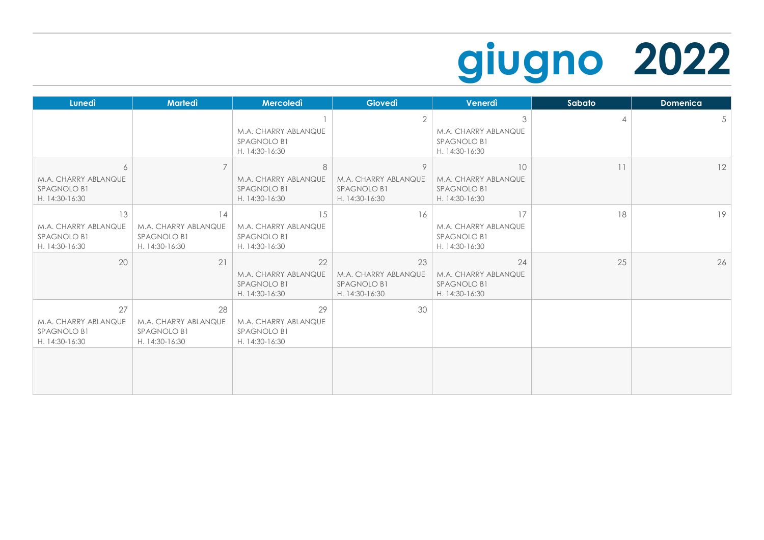## **giugno 2022**

| <b>Lunedì</b>                                               | <b>Martedì</b>                                              | Mercoledì                                                   | <b>Giovedì</b>                                              | Venerdì                                                     | Sabato | <b>Domenica</b> |
|-------------------------------------------------------------|-------------------------------------------------------------|-------------------------------------------------------------|-------------------------------------------------------------|-------------------------------------------------------------|--------|-----------------|
|                                                             |                                                             | M.A. CHARRY ABLANQUE<br>SPAGNOLO B1<br>H. 14:30-16:30       | $\overline{2}$                                              | 3<br>M.A. CHARRY ABLANQUE<br>SPAGNOLO B1<br>H. 14:30-16:30  | 4      | 5               |
| 6<br>M.A. CHARRY ABLANQUE<br>SPAGNOLO B1<br>H. 14:30-16:30  | $\overline{7}$                                              | 8<br>M.A. CHARRY ABLANQUE<br>SPAGNOLO B1<br>H. 14:30-16:30  | 9<br>M.A. CHARRY ABLANQUE<br>SPAGNOLO B1<br>H. 14:30-16:30  | 10<br>M.A. CHARRY ABLANQUE<br>SPAGNOLO B1<br>H. 14:30-16:30 | 11     | 12              |
| 13<br>M.A. CHARRY ABLANQUE<br>SPAGNOLO B1<br>H. 14:30-16:30 | 14<br>M.A. CHARRY ABLANQUE<br>SPAGNOLO B1<br>H. 14:30-16:30 | 15<br>M.A. CHARRY ABLANQUE<br>SPAGNOLO B1<br>H. 14:30-16:30 | 16                                                          | 17<br>M.A. CHARRY ABLANQUE<br>SPAGNOLO B1<br>H. 14:30-16:30 | 18     | 19              |
| 20                                                          | 21                                                          | 22<br>M.A. CHARRY ABLANQUE<br>SPAGNOLO B1<br>H. 14:30-16:30 | 23<br>M.A. CHARRY ABLANQUE<br>SPAGNOLO B1<br>H. 14:30-16:30 | 24<br>M.A. CHARRY ABLANQUE<br>SPAGNOLO B1<br>H. 14:30-16:30 | 25     | 26              |
| 27<br>M.A. CHARRY ABLANQUE<br>SPAGNOLO B1<br>H. 14:30-16:30 | 28<br>M.A. CHARRY ABLANQUE<br>SPAGNOLO B1<br>H. 14:30-16:30 | 29<br>M.A. CHARRY ABLANQUE<br>SPAGNOLO B1<br>H. 14:30-16:30 | 30                                                          |                                                             |        |                 |
|                                                             |                                                             |                                                             |                                                             |                                                             |        |                 |